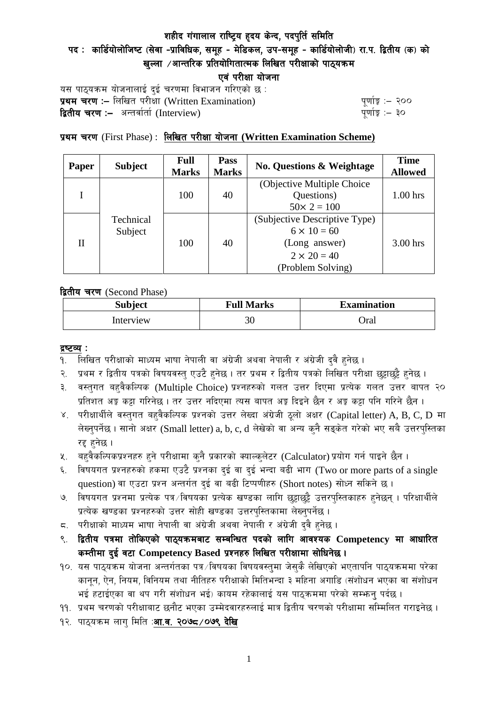पद: कार्डियोलोजिष्ट (सेवा -प्राविधिक, समूह - मेडिकल, उप-समूह - कार्डियोलोजी) रा.प. द्वितीय (क) को खल्ला  $\ell$ आन्तरिक प्रतियोगितात्मक लिखित परीक्षाको पाठयक्रम

एवं परीक्षा योजना

यस पाठ्यक्रम योजनालाई दुई चरणमा विभाजन गरिएको छ : प्रथम चरण :- लिखित परीक्षा (Written Examination)  $\frac{1}{2}$  while  $\frac{1}{2}$  and  $\frac{1}{2}$ **द्वितीय चरण :–** अन्तर्वार्ता (Interview) k and the set of the set of the set of the set of the set of the set o

### प्रथम चरण (First Phase) : <u>लिखित परीक्षा योजना (Wr**itten Examination Scheme**)</u>

| Paper | <b>Subject</b>       | <b>Full</b><br><b>Marks</b> | <b>Pass</b><br><b>Marks</b> | <b>No. Questions &amp; Weightage</b> | <b>Time</b><br><b>Allowed</b> |
|-------|----------------------|-----------------------------|-----------------------------|--------------------------------------|-------------------------------|
|       |                      |                             |                             | (Objective Multiple Choice)          |                               |
|       |                      | 100                         | 40                          | Questions)                           | $1.00$ hrs                    |
|       | Technical<br>Subject |                             |                             | $50 \times 2 = 100$                  |                               |
| П     |                      | 100                         | 40                          | (Subjective Descriptive Type)        |                               |
|       |                      |                             |                             | $6 \times 10 = 60$                   |                               |
|       |                      |                             |                             | (Long answer)                        | $3.00$ hrs                    |
|       |                      |                             |                             | $2 \times 20 = 40$                   |                               |
|       |                      |                             |                             | (Problem Solving)                    |                               |

द्वितीय चरण (Second Phase)

| <b>Subject</b> | <b>Full Marks</b> | <b>Examination</b> |  |
|----------------|-------------------|--------------------|--|
| Interview      | 30                | Oral               |  |

#### द्रष्टव्य :

- १. लिखित परीक्षाको माध्यम भाषा नेपाली वा अंग्रेजी अथवा नेपाली र अंग्रेजी द्वै हुनेछ ।
- २. प्रथम र द्वितीय पत्रको विषयवस्त् एउटै हुनेछ । तर प्रथम र द्वितीय पत्रको लिखित परीक्षा छुट्टाछुट्टै हुनेछ ।
- ३. वस्तुगत बहुवैकल्पिक (Multiple Choice) प्रश्नहरुको गलत उत्तर दिएमा प्रत्येक गलत उत्तर बापत २० प्रतिशत अड़ू कट्टा गरिनेछ । तर उत्तर नदिएमा त्यस बापत अड़ू दिइने छैन र अड़ू कट्टा पनि गरिने छैन ।
- ४. परीक्षार्थीले वस्तुगत बहुवैकल्पिक प्रश्नको उत्तर लेख्दा अंग्रेजी ठूलो अक्षर (Capital letter) A, B, C, D मा लेख्नुपर्नेछ । सानो अक्षर (Small letter) a, b, c, d लेखेको वा अन्य कुनै सङ्केत गरेको भए सबै उत्तरपुस्तिका रद्द हनेछ ।
- ५. वहवैकल्पिकप्रश्नहरु हुने परीक्षामा कुनै प्रकारको क्याल्कुलेटर (Calculator) प्रयोग गर्न पाइने छैन ।
- ६. विषयगत प्रश्नहरुको हकमा एउटै प्रश्नका दुई वा दुई भन्दा बढी भाग (Two or more parts of a single question) वा एउटा प्रश्न अन्तर्गत दुई वा बढी टिप्पणीहरु (Short notes) सोध्न सकिने छ।
- ७. विषयगत प्रश्नमा प्रत्येक पत्र ∕विषयका प्रत्येक खण्डका लागि छट्टाछट्टै उत्तरपुस्तिकाहरु हुनेछन् । परिक्षार्थीले प्रत्येक खण्डका प्रश्नहरुको उत्तर सोही खण्डका उत्तरपुस्तिकामा लेख्नुपर्नेछ ।
- $\,$ द. परीक्षाको माध्यम भाषा नेपाली वा अंग्रेजी अथवा नेपाली र अंग्रेजी द्वै हुनेछ ।
- ९. द्वितीय पत्रमा तोकिएको पाठ्यक्रमबाट सम्बन्धित पदको लागि आवश्यक Competency मा आधारित कम्तीमा दई वटा Competency Based प्रश्नहरु लिखित परीक्षामा सोधिनेछ।
- $10.$  यस पाठ्यक्रम योजना अन्तर्गतका पत्र /विषयका विषयवस्तुमा जेसुकै लेखिएको भएतापनि पाठ्यक्रममा परेका कानून, ऐन, नियम, विनियम तथा नीतिहरु परीक्षाको मितिभन्दा ३ महिना अगाडि (संशोधन भएका वा संशोधन भई हटाईएका वा थप गरी संशोधन भई) कायम रहेकालाई यस पाठकममा परेको सम्भन्न पर्दछ ।
- ११. प्रथम चरणको परीक्षाबाट छनौट भएका उम्मेदवारहरुलाई मात्र द्वितीय चरणको परीक्षामा सम्मिलित गराइनेछ ।
- १२. पाठ्यक्रम लाग मिति :**आ.व. २०७८ ⁄ ०७९ देखि**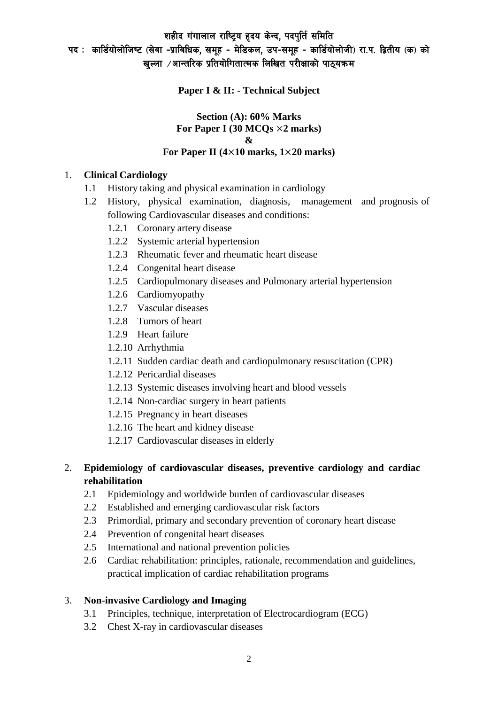# पद : कार्डियोलोजिष्ट (सेवा -प्राविधिक, समूह - मेडिकल, उप-समूह - कार्डियोलोजी) रा.प. द्वितीय (क) को खल्ला  $\ell$ आन्तरिक प्रतियोगितात्मक लिखित परीक्षाको पाठ्यक्रम

**Paper I & II: - Technical Subject**

#### **Section (A): 60% Marks For Paper I (30 MCQs** ×**2 marks) & For Paper II (4**×**10 marks, 1**×**20 marks)**

### 1. **Clinical Cardiology**

- 1.1 History taking and physical examination in cardiology
- 1.2 History, physical examination, diagnosis, management and prognosis of following Cardiovascular diseases and conditions:
	- 1.2.1 Coronary artery disease
	- 1.2.2 Systemic arterial hypertension
	- 1.2.3 Rheumatic fever and rheumatic heart disease
	- 1.2.4 Congenital heart disease
	- 1.2.5 Cardiopulmonary diseases and Pulmonary arterial hypertension
	- 1.2.6 Cardiomyopathy
	- 1.2.7 Vascular diseases
	- 1.2.8 Tumors of heart
	- 1.2.9 Heart failure
	- 1.2.10 Arrhythmia
	- 1.2.11 Sudden cardiac death and cardiopulmonary resuscitation (CPR)
	- 1.2.12 Pericardial diseases
	- 1.2.13 Systemic diseases involving heart and blood vessels
	- 1.2.14 Non-cardiac surgery in heart patients
	- 1.2.15 Pregnancy in heart diseases
	- 1.2.16 The heart and kidney disease
	- 1.2.17 Cardiovascular diseases in elderly

### 2. **Epidemiology of cardiovascular diseases, preventive cardiology and cardiac rehabilitation**

- 2.1 Epidemiology and worldwide burden of cardiovascular diseases
- 2.2 Established and emerging cardiovascular risk factors
- 2.3 Primordial, primary and secondary prevention of coronary heart disease
- 2.4 Prevention of congenital heart diseases
- 2.5 International and national prevention policies
- 2.6 Cardiac rehabilitation: principles, rationale, recommendation and guidelines, practical implication of cardiac rehabilitation programs

# 3. **Non-invasive Cardiology and Imaging**

- 3.1 Principles, technique, interpretation of Electrocardiogram (ECG)
- 3.2 Chest X-ray in cardiovascular diseases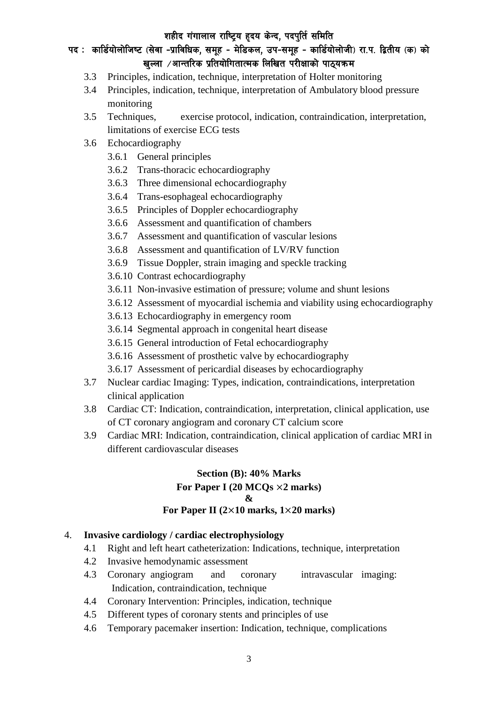# पद : कार्डियोलोजिष्ट (सेवा -प्राविधिक, समूह - मेडिकल, उप-समूह - कार्डियोलोजी) रा.प. द्वितीय (क) को खल्ला  $\ell$ आन्तरिक प्रतियोगितात्मक लिखित परीक्षाको पाठ्यक्रम

- 3.3 Principles, indication, technique, interpretation of Holter monitoring
- 3.4 Principles, indication, technique, interpretation of Ambulatory blood pressure monitoring
- 3.5 Techniques, exercise protocol, indication, contraindication, interpretation, limitations of exercise ECG tests
- 3.6 Echocardiography
	- 3.6.1 General principles
	- 3.6.2 Trans-thoracic echocardiography
	- 3.6.3 Three dimensional echocardiography
	- 3.6.4 Trans-esophageal echocardiography
	- 3.6.5 Principles of Doppler echocardiography
	- 3.6.6 Assessment and quantification of chambers
	- 3.6.7 Assessment and quantification of vascular lesions
	- 3.6.8 Assessment and quantification of LV/RV function
	- 3.6.9 Tissue Doppler, strain imaging and speckle tracking
	- 3.6.10 Contrast echocardiography
	- 3.6.11 Non-invasive estimation of pressure; volume and shunt lesions
	- 3.6.12 Assessment of myocardial ischemia and viability using echocardiography
	- 3.6.13 Echocardiography in emergency room
	- 3.6.14 Segmental approach in congenital heart disease
	- 3.6.15 General introduction of Fetal echocardiography
	- 3.6.16 Assessment of prosthetic valve by echocardiography
	- 3.6.17 Assessment of pericardial diseases by echocardiography
- 3.7 Nuclear cardiac Imaging: Types, indication, contraindications, interpretation clinical application
- 3.8 Cardiac CT: Indication, contraindication, interpretation, clinical application, use of CT coronary angiogram and coronary CT calcium score
- 3.9 Cardiac MRI: Indication, contraindication, clinical application of cardiac MRI in different cardiovascular diseases

# **Section (B): 40% Marks For Paper I (20 MCQs** ×**2 marks) & For Paper II (2**×**10 marks, 1**×**20 marks)**

#### 4. **Invasive cardiology / cardiac electrophysiology**

- 4.1 Right and left heart catheterization: Indications, technique, interpretation
- 4.2 Invasive hemodynamic assessment
- 4.3 Coronary angiogram and coronary intravascular imaging: Indication, contraindication, technique
- 4.4 Coronary Intervention: Principles, indication, technique
- 4.5 Different types of coronary stents and principles of use
- 4.6 Temporary pacemaker insertion: Indication, technique, complications